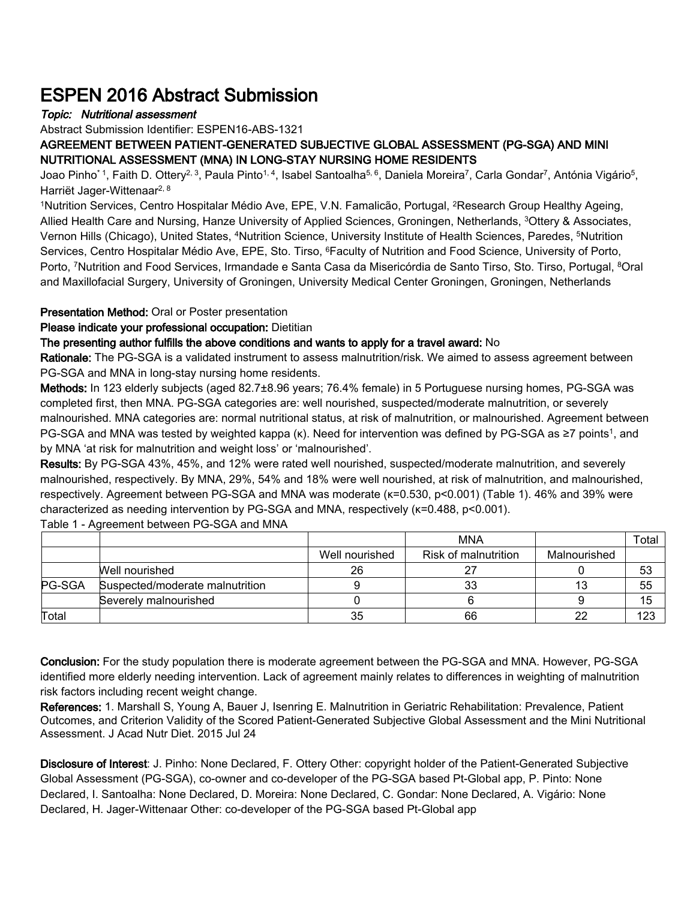## ESPEN 2016 Abstract Submission

## Topic: Nutritional assessment

Abstract Submission Identifier: ESPEN16-ABS-1321

AGREEMENT BETWEEN PATIENT-GENERATED SUBJECTIVE GLOBAL ASSESSMENT (PG-SGA) AND MINI NUTRITIONAL ASSESSMENT (MNA) IN LONG-STAY NURSING HOME RESIDENTS

Joao Pinho\*1, Faith D. Ottery<sup>2, 3</sup>, Paula Pinto1,4, Isabel Santoalha<sup>5, 6</sup>, Daniela Moreira<sup>7</sup>, Carla Gondar<sup>7</sup>, Antónia Vigário<sup>5</sup>, Harriët Jager-Wittenaar<sup>2, 8</sup>

<sup>1</sup>Nutrition Services, Centro Hospitalar Médio Ave, EPE, V.N. Famalicão, Portugal, <sup>2</sup>Research Group Healthy Ageing, Allied Health Care and Nursing, Hanze University of Applied Sciences, Groningen, Netherlands, <sup>3</sup>Ottery & Associates, Vernon Hills (Chicago), United States, <sup>4</sup>Nutrition Science, University Institute of Health Sciences, Paredes, <sup>5</sup>Nutrition Services, Centro Hospitalar Médio Ave, EPE, Sto. Tirso, <sup>6</sup>Faculty of Nutrition and Food Science, University of Porto, Porto, <sup>7</sup>Nutrition and Food Services, Irmandade e Santa Casa da Misericórdia de Santo Tirso, Sto. Tirso, Portugal, <sup>8</sup>Oral and Maxillofacial Surgery, University of Groningen, University Medical Center Groningen, Groningen, Netherlands

## Presentation Method: Oral or Poster presentation

Please indicate your professional occupation: Dietitian

## The presenting author fulfills the above conditions and wants to apply for a travel award: No

Rationale: The PG-SGA is a validated instrument to assess malnutrition/risk. We aimed to assess agreement between PG-SGA and MNA in long-stay nursing home residents.

Methods: In 123 elderly subjects (aged 82.7±8.96 years; 76.4% female) in 5 Portuguese nursing homes, PG-SGA was completed first, then MNA. PG-SGA categories are: well nourished, suspected/moderate malnutrition, or severely malnourished. MNA categories are: normal nutritional status, at risk of malnutrition, or malnourished. Agreement between PG-SGA and MNA was tested by weighted kappa (κ). Need for intervention was defined by PG-SGA as ≥7 points<sup>1</sup>, and by MNA 'at risk for malnutrition and weight loss' or 'malnourished'.

Results: By PG-SGA 43%, 45%, and 12% were rated well nourished, suspected/moderate malnutrition, and severely malnourished, respectively. By MNA, 29%, 54% and 18% were well nourished, at risk of malnutrition, and malnourished, respectively. Agreement between PG-SGA and MNA was moderate (κ=0.530, p<0.001) (Table 1). 46% and 39% were characterized as needing intervention by PG-SGA and MNA, respectively (κ=0.488, p<0.001).

|        |                                 |                | <b>MNA</b>           |              | Total I |
|--------|---------------------------------|----------------|----------------------|--------------|---------|
|        |                                 | Well nourished | Risk of malnutrition | Malnourished |         |
|        | Well nourished                  | 26             |                      |              | 53      |
| PG-SGA | Suspected/moderate malnutrition |                | 33                   |              | 55      |
|        | Severely malnourished           |                |                      |              | 15      |
| Total  |                                 | 35             | 66                   |              | 123     |

Table 1 - Agreement between PG-SGA and MNA

Conclusion: For the study population there is moderate agreement between the PG-SGA and MNA. However, PG-SGA identified more elderly needing intervention. Lack of agreement mainly relates to differences in weighting of malnutrition risk factors including recent weight change.

References: 1. Marshall S, Young A, Bauer J, Isenring E. Malnutrition in Geriatric Rehabilitation: Prevalence, Patient Outcomes, and Criterion Validity of the Scored Patient-Generated Subjective Global Assessment and the Mini Nutritional Assessment. J Acad Nutr Diet. 2015 Jul 24

Disclosure of Interest: J. Pinho: None Declared, F. Ottery Other: copyright holder of the Patient-Generated Subjective Global Assessment (PG-SGA), co-owner and co-developer of the PG-SGA based Pt-Global app, P. Pinto: None Declared, I. Santoalha: None Declared, D. Moreira: None Declared, C. Gondar: None Declared, A. Vigário: None Declared, H. Jager-Wittenaar Other: co-developer of the PG-SGA based Pt-Global app